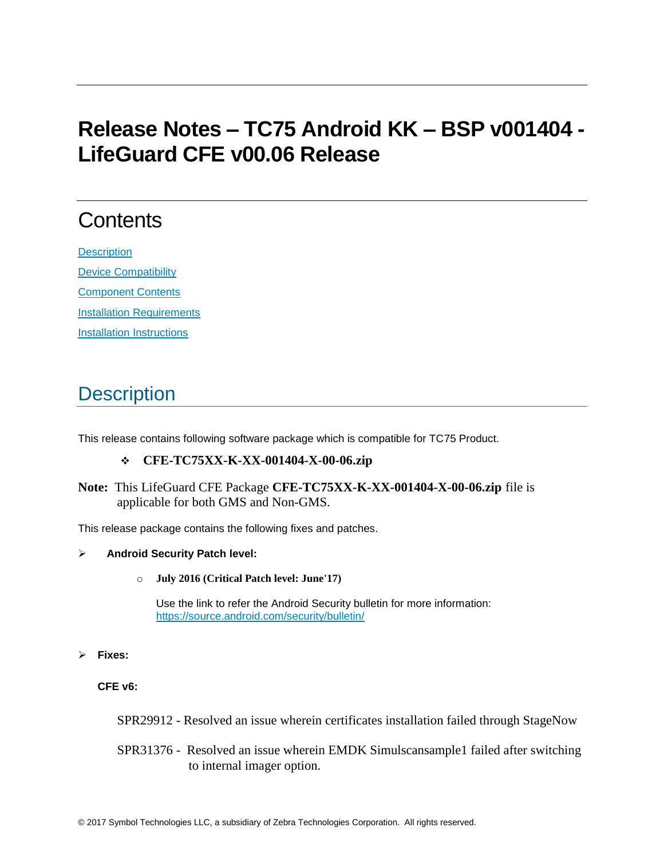# **Release Notes – TC75 Android KK – BSP v001404 - LifeGuard CFE v00.06 Release**

# **Contents**

**[Description](#page-0-0)** [Device Compatibility](#page-4-0) [Component Contents](#page-4-1) [Installation Requirements](#page-5-0) [Installation Instructions](#page-5-1)

# <span id="page-0-0"></span>**Description**

This release contains following software package which is compatible for TC75 Product.

## **CFE-TC75XX-K-XX-001404-X-00-06.zip**

**Note:** This LifeGuard CFE Package **CFE-TC75XX-K-XX-001404-X-00-06.zip** file is applicable for both GMS and Non-GMS.

This release package contains the following fixes and patches.

## **Android Security Patch level:**

o **July 2016 (Critical Patch level: June'17)**

Use the link to refer the Android Security bulletin for more information: <https://source.android.com/security/bulletin/>

**Fixes:**

**CFE v6:**

SPR29912 - Resolved an issue wherein certificates installation failed through StageNow

SPR31376 - Resolved an issue wherein EMDK Simulscansample1 failed after switching to internal imager option.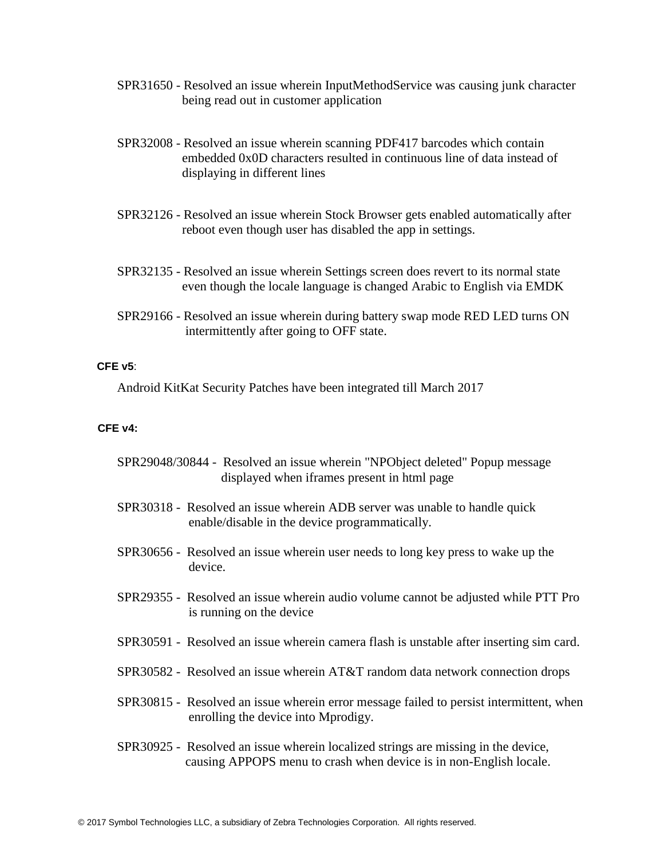- SPR31650 Resolved an issue wherein InputMethodService was causing junk character being read out in customer application
- SPR32008 Resolved an issue wherein scanning PDF417 barcodes which contain embedded 0x0D characters resulted in continuous line of data instead of displaying in different lines
- SPR32126 Resolved an issue wherein Stock Browser gets enabled automatically after reboot even though user has disabled the app in settings.
- SPR32135 Resolved an issue wherein Settings screen does revert to its normal state even though the locale language is changed Arabic to English via EMDK
- SPR29166 Resolved an issue wherein during battery swap mode RED LED turns ON intermittently after going to OFF state.

### **CFE v5**:

Android KitKat Security Patches have been integrated till March 2017

### **CFE v4:**

| SPR29048/30844 - Resolved an issue wherein "NPObject deleted" Popup message<br>displayed when if rames present in html page                             |  |
|---------------------------------------------------------------------------------------------------------------------------------------------------------|--|
| SPR30318 - Resolved an issue wherein ADB server was unable to handle quick<br>enable/disable in the device programmatically.                            |  |
| SPR30656 - Resolved an issue wherein user needs to long key press to wake up the<br>device.                                                             |  |
| SPR29355 - Resolved an issue wherein audio volume cannot be adjusted while PTT Pro<br>is running on the device                                          |  |
| SPR30591 - Resolved an issue wherein camera flash is unstable after inserting sim card.                                                                 |  |
| SPR30582 - Resolved an issue wherein AT&T random data network connection drops                                                                          |  |
| SPR30815 - Resolved an issue wherein error message failed to persist intermittent, when<br>enrolling the device into Mprodigy.                          |  |
| SPR30925 - Resolved an issue wherein localized strings are missing in the device,<br>causing APPOPS menu to crash when device is in non-English locale. |  |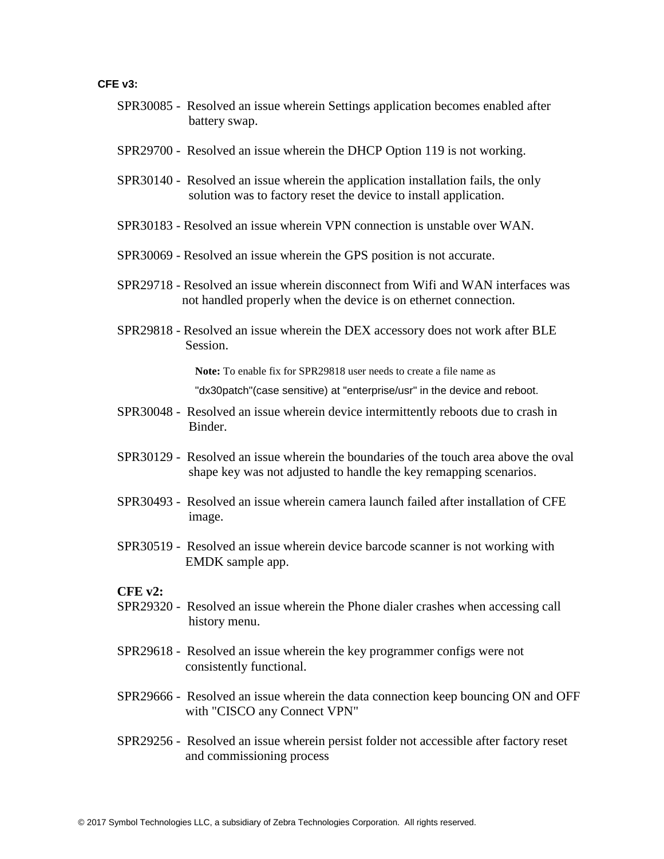### **CFE v3:**

- SPR30085 Resolved an issue wherein Settings application becomes enabled after battery swap.
- SPR29700 Resolved an issue wherein the DHCP Option 119 is not working.
- SPR30140 Resolved an issue wherein the application installation fails, the only solution was to factory reset the device to install application.
- SPR30183 Resolved an issue wherein VPN connection is unstable over WAN.
- SPR30069 Resolved an issue wherein the GPS position is not accurate.
- SPR29718 Resolved an issue wherein disconnect from Wifi and WAN interfaces was not handled properly when the device is on ethernet connection.
- SPR29818 Resolved an issue wherein the DEX accessory does not work after BLE Session.

**Note:** To enable fix for SPR29818 user needs to create a file name as

"dx30patch"(case sensitive) at "enterprise/usr" in the device and reboot.

- SPR30048 Resolved an issue wherein device intermittently reboots due to crash in Binder.
- SPR30129 Resolved an issue wherein the boundaries of the touch area above the oval shape key was not adjusted to handle the key remapping scenarios.
- SPR30493 Resolved an issue wherein camera launch failed after installation of CFE image.
- SPR30519 Resolved an issue wherein device barcode scanner is not working with EMDK sample app.

#### **CFE v2:**

- SPR29320 Resolved an issue wherein the Phone dialer crashes when accessing call history menu.
- SPR29618 Resolved an issue wherein the key programmer configs were not consistently functional.
- SPR29666 Resolved an issue wherein the data connection keep bouncing ON and OFF with "CISCO any Connect VPN"
- SPR29256 Resolved an issue wherein persist folder not accessible after factory reset and commissioning process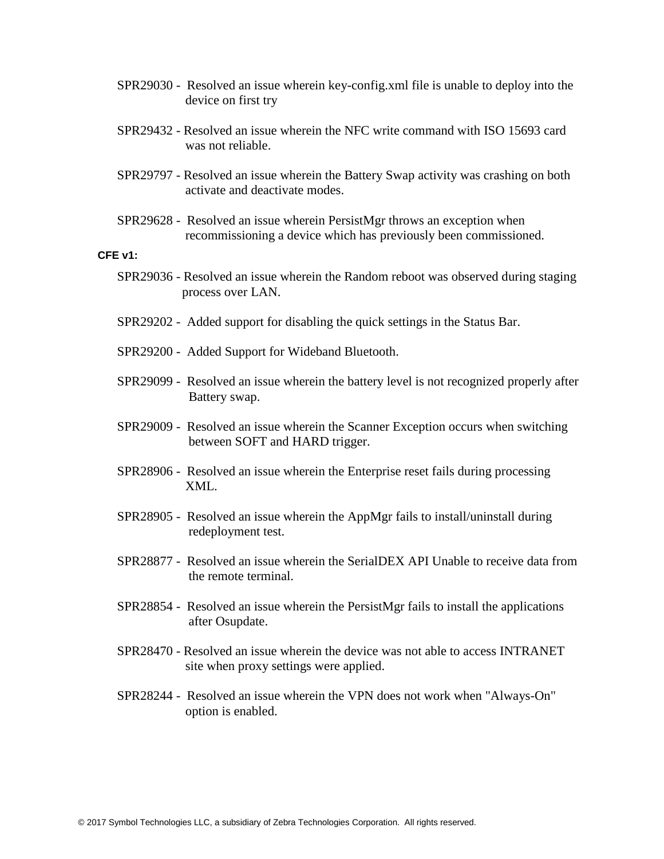- SPR29030 Resolved an issue wherein key-config.xml file is unable to deploy into the device on first try
- SPR29432 Resolved an issue wherein the NFC write command with ISO 15693 card was not reliable.
- SPR29797 Resolved an issue wherein the Battery Swap activity was crashing on both activate and deactivate modes.
- SPR29628 Resolved an issue wherein PersistMgr throws an exception when recommissioning a device which has previously been commissioned.

#### **CFE v1:**

- SPR29036 Resolved an issue wherein the Random reboot was observed during staging process over LAN.
- SPR29202 Added support for disabling the quick settings in the Status Bar.
- SPR29200 Added Support for Wideband Bluetooth.
- SPR29099 Resolved an issue wherein the battery level is not recognized properly after Battery swap.
- SPR29009 Resolved an issue wherein the Scanner Exception occurs when switching between SOFT and HARD trigger.
- SPR28906 Resolved an issue wherein the Enterprise reset fails during processing XML.
- SPR28905 Resolved an issue wherein the AppMgr fails to install/uninstall during redeployment test.
- SPR28877 Resolved an issue wherein the SerialDEX API Unable to receive data from the remote terminal.
- SPR28854 Resolved an issue wherein the PersistMgr fails to install the applications after Osupdate.
- SPR28470 Resolved an issue wherein the device was not able to access INTRANET site when proxy settings were applied.
- SPR28244 Resolved an issue wherein the VPN does not work when "Always-On" option is enabled.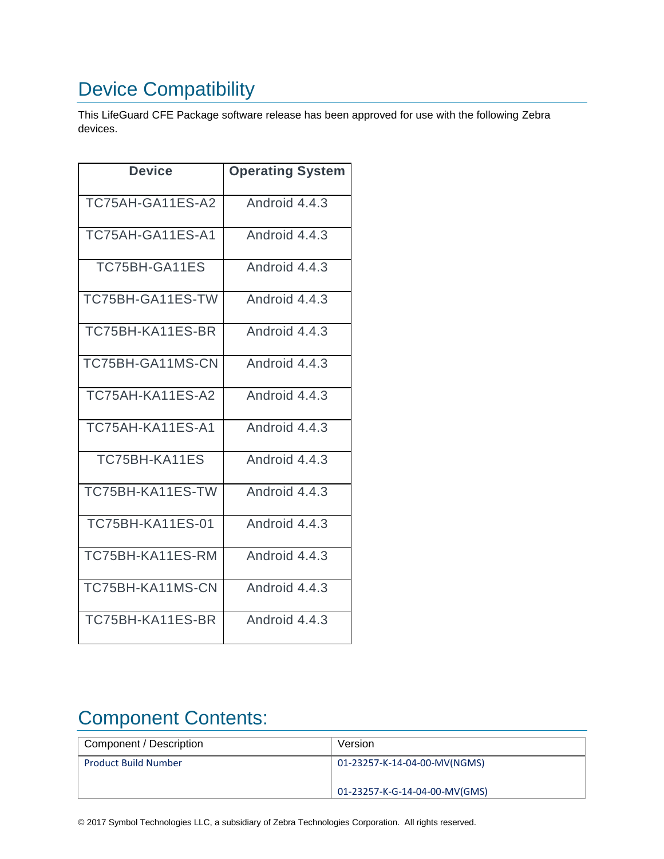# <span id="page-4-0"></span>Device Compatibility

This LifeGuard CFE Package software release has been approved for use with the following Zebra devices.

| Device                  | <b>Operating System</b> |
|-------------------------|-------------------------|
| TC75AH-GA11ES-A2        | Android 4.4.3           |
| TC75AH-GA11ES-A1        | Android 4.4.3           |
| TC75BH-GA11ES           | Android 4.4.3           |
| TC75BH-GA11ES-TW        | Android 4.4.3           |
| TC75BH-KA11ES-BR        | Android 4.4.3           |
| TC75BH-GA11MS-CN        | Android 4.4.3           |
| TC75AH-KA11ES-A2        | Android 4.4.3           |
| TC75AH-KA11ES-A1        | Android 4.4.3           |
| TC75BH-KA11ES           | Android 4.4.3           |
| TC75BH-KA11ES-TW        | Android 4.4.3           |
| <b>TC75BH-KA11ES-01</b> | Android 4.4.3           |
| TC75BH-KA11ES-RM        | Android 4.4.3           |
| TC75BH-KA11MS-CN        | Android 4.4.3           |
| TC75BH-KA11ES-BR        | Android 4.4.3           |

# <span id="page-4-1"></span>Component Contents:

| Component / Description     | Version                       |
|-----------------------------|-------------------------------|
| <b>Product Build Number</b> | 01-23257-K-14-04-00-MV(NGMS)  |
|                             | 01-23257-K-G-14-04-00-MV(GMS) |

© 2017 Symbol Technologies LLC, a subsidiary of Zebra Technologies Corporation. All rights reserved.